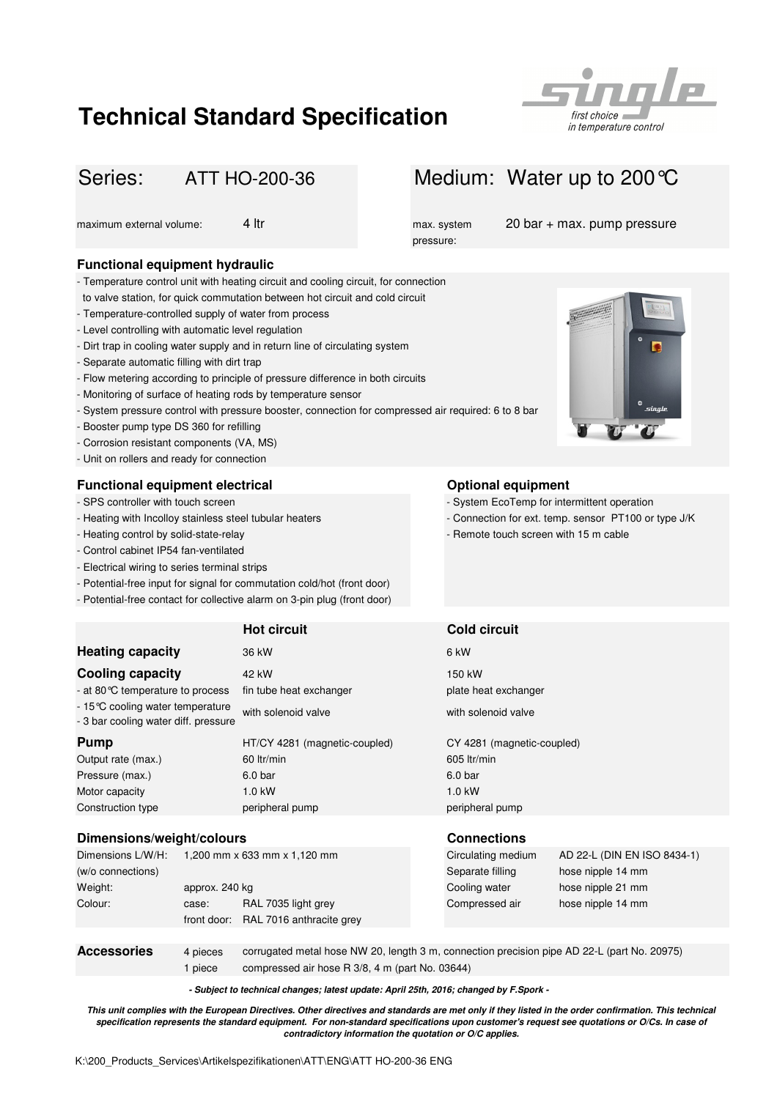# **Technical Standard Specification**



# ATT HO-200-36

# **Functional equipment hydraulic**

- Temperature control unit with heating circuit and cooling circuit, for connection
- to valve station, for quick commutation between hot circuit and cold circuit
- Temperature-controlled supply of water from process
- Level controlling with automatic level regulation
- Dirt trap in cooling water supply and in return line of circulating system
- Separate automatic filling with dirt trap
- Flow metering according to principle of pressure difference in both circuits
- Monitoring of surface of heating rods by temperature sensor
- System pressure control with pressure booster, connection for compressed air required: 6 to 8 bar
- Booster pump type DS 360 for refilling
- Corrosion resistant components (VA, MS)
- Unit on rollers and ready for connection

# **Functional equipment electrical Constanting Series Constanting Constanting Constanting Constanting Constanting Constanting Constanting Constanting Constanting Constanting Constanting Constanting Constanting Constanting**

- SPS controller with touch screen
- 
- Heating control by solid-state-relay
- Control cabinet IP54 fan-ventilated
- Electrical wiring to series terminal strips
- Potential-free input for signal for commutation cold/hot (front door)
- Potential-free contact for collective alarm on 3-pin plug (front door)

|                                                                           | <b>Hot circuit</b>            | <b>Cold circuit</b>        |
|---------------------------------------------------------------------------|-------------------------------|----------------------------|
| <b>Heating capacity</b>                                                   | 36 kW                         | 6 kW                       |
| <b>Cooling capacity</b>                                                   | 42 kW                         | 150 kW                     |
| - at 80 °C temperature to process                                         | fin tube heat exchanger       | plate heat exchanger       |
| - 15 °C cooling water temperature<br>- 3 bar cooling water diff. pressure | with solenoid valve           | with solenoid valve        |
| <b>Pump</b>                                                               | HT/CY 4281 (magnetic-coupled) | CY 4281 (magnetic-coupled) |
| Output rate (max.)                                                        | 60 ltr/min                    | 605 ltr/min                |
| Pressure (max.)                                                           | 6.0 <sub>bar</sub>            | 6.0 <sub>bar</sub>         |
| Motor capacity                                                            | $1.0$ kW                      | $1.0$ kW                   |
| Construction type                                                         | peripheral pump               | peripheral pump            |

### **Dimensions/weight/colours Connections**

| Dimensions L/W/H:  |                | 1,200 mm x 633 mm x 1,120 mm                                                                |  | Circulating medium | AD 22-L (DIN EN ISO 8434-1) |
|--------------------|----------------|---------------------------------------------------------------------------------------------|--|--------------------|-----------------------------|
| (w/o connections)  |                |                                                                                             |  | Separate filling   | hose nipple 14 mm           |
| Weight:            | approx. 240 kg |                                                                                             |  | Cooling water      | hose nipple 21 mm           |
| Colour:            | case:          | RAL 7035 light grey                                                                         |  | Compressed air     | hose nipple 14 mm           |
|                    | front door:    | RAL 7016 anthracite grey                                                                    |  |                    |                             |
|                    |                |                                                                                             |  |                    |                             |
| <b>Accessories</b> | 4 pieces       | corrugated metal hose NW 20, length 3 m, connection precision pipe AD 22-L (part No. 20975) |  |                    |                             |

1 piece compressed air hose R 3/8, 4 m (part No. 03644)

**- Subject to technical changes; latest update: April 25th, 2016; changed by F.Spork -**

**This unit complies with the European Directives. Other directives and standards are met only if they listed in the order confirmation. This technical specification represents the standard equipment. For non-standard specifications upon customer's request see quotations or O/Cs. In case of contradictory information the quotation or O/C applies.**

# Series: ATT HO-200-36 Medium: Water up to 200 °C

pressure:

maximum external volume: 4 ltr max. system 20 bar + max. pump pressure



- System EcoTemp for intermittent operation
- Heating with Incolloy stainless steel tubular heaters Connection for ext. temp. sensor PT100 or type J/K
	- Remote touch screen with 15 m cable